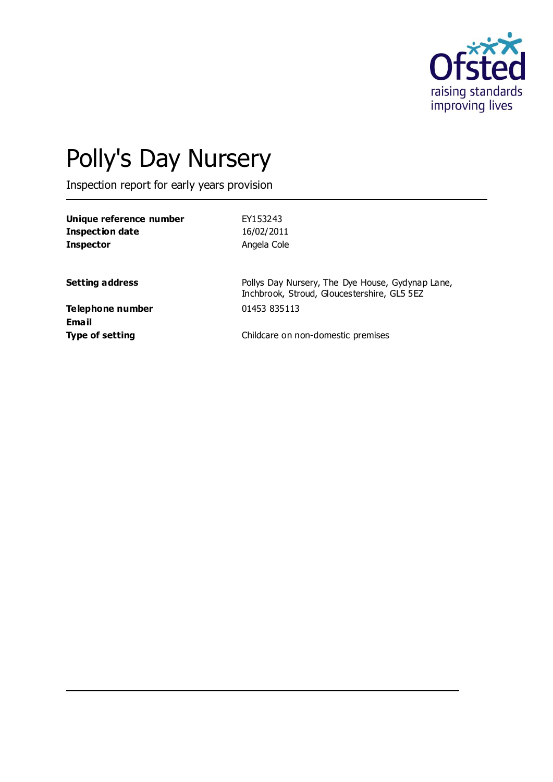

# Polly's Day Nursery

Inspection report for early years provision

| Unique reference number          | EY153243                                                                                        |
|----------------------------------|-------------------------------------------------------------------------------------------------|
| Inspection date                  | 16/02/2011                                                                                      |
| <b>Inspector</b>                 | Angela Cole                                                                                     |
| <b>Setting address</b>           | Pollys Day Nursery, The Dye House, Gydynap Lane,<br>Inchbrook, Stroud, Gloucestershire, GL5 5EZ |
| Telephone number<br><b>Email</b> | 01453 835113                                                                                    |
| <b>Type of setting</b>           | Childcare on non-domestic premises                                                              |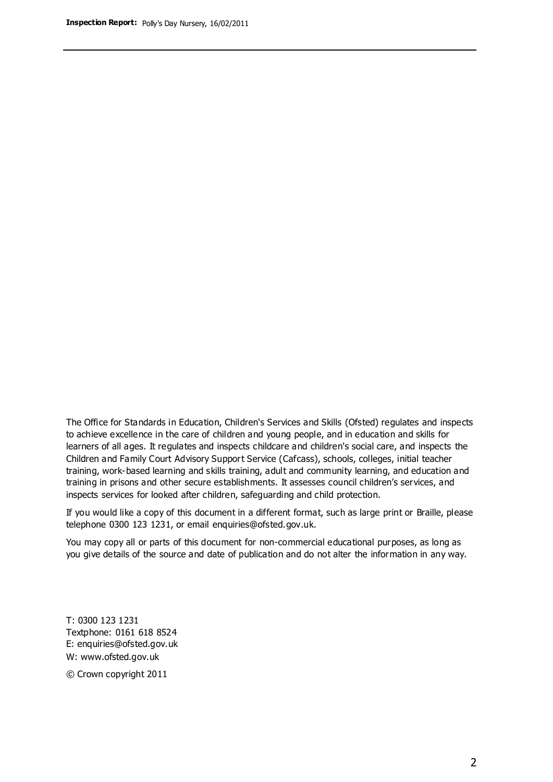The Office for Standards in Education, Children's Services and Skills (Ofsted) regulates and inspects to achieve excellence in the care of children and young people, and in education and skills for learners of all ages. It regulates and inspects childcare and children's social care, and inspects the Children and Family Court Advisory Support Service (Cafcass), schools, colleges, initial teacher training, work-based learning and skills training, adult and community learning, and education and training in prisons and other secure establishments. It assesses council children's services, and inspects services for looked after children, safeguarding and child protection.

If you would like a copy of this document in a different format, such as large print or Braille, please telephone 0300 123 1231, or email enquiries@ofsted.gov.uk.

You may copy all or parts of this document for non-commercial educational purposes, as long as you give details of the source and date of publication and do not alter the information in any way.

T: 0300 123 1231 Textphone: 0161 618 8524 E: enquiries@ofsted.gov.uk W: [www.ofsted.gov.uk](http://www.ofsted.gov.uk/)

© Crown copyright 2011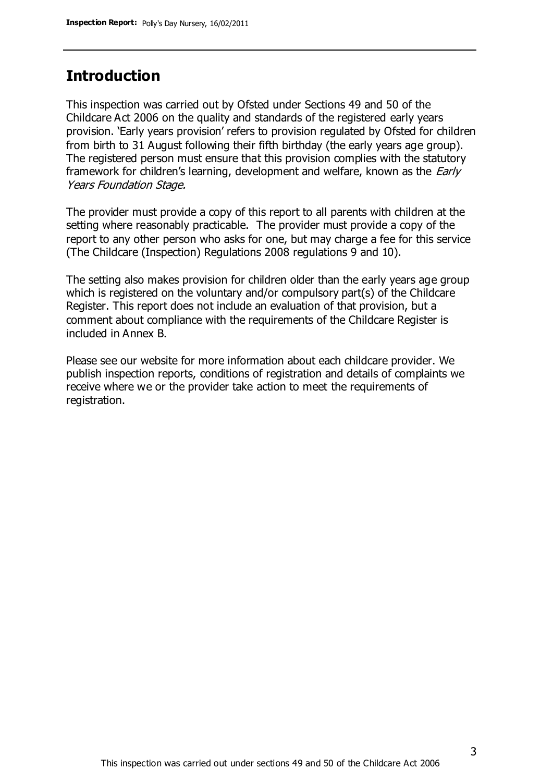## **Introduction**

This inspection was carried out by Ofsted under Sections 49 and 50 of the Childcare Act 2006 on the quality and standards of the registered early years provision. 'Early years provision' refers to provision regulated by Ofsted for children from birth to 31 August following their fifth birthday (the early years age group). The registered person must ensure that this provision complies with the statutory framework for children's learning, development and welfare, known as the *Early* Years Foundation Stage.

The provider must provide a copy of this report to all parents with children at the setting where reasonably practicable. The provider must provide a copy of the report to any other person who asks for one, but may charge a fee for this service (The Childcare (Inspection) Regulations 2008 regulations 9 and 10).

The setting also makes provision for children older than the early years age group which is registered on the voluntary and/or compulsory part(s) of the Childcare Register. This report does not include an evaluation of that provision, but a comment about compliance with the requirements of the Childcare Register is included in Annex B.

Please see our website for more information about each childcare provider. We publish inspection reports, conditions of registration and details of complaints we receive where we or the provider take action to meet the requirements of registration.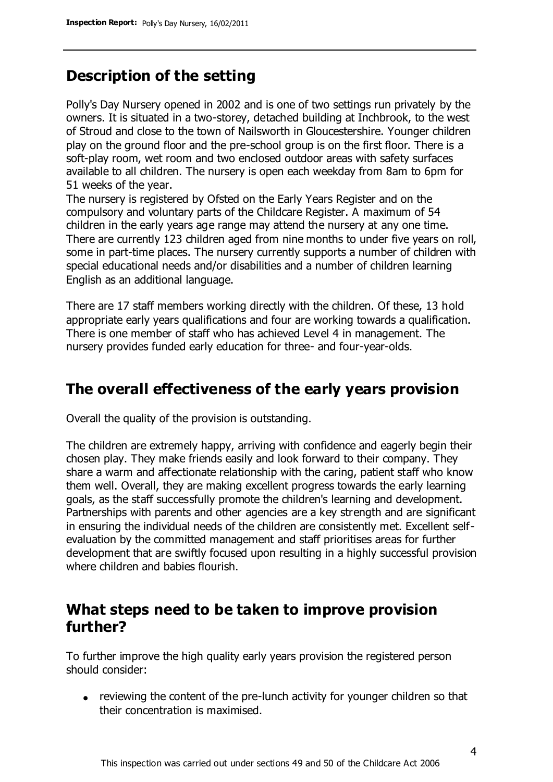# **Description of the setting**

Polly's Day Nursery opened in 2002 and is one of two settings run privately by the owners. It is situated in a two-storey, detached building at Inchbrook, to the west of Stroud and close to the town of Nailsworth in Gloucestershire. Younger children play on the ground floor and the pre-school group is on the first floor. There is a soft-play room, wet room and two enclosed outdoor areas with safety surfaces available to all children. The nursery is open each weekday from 8am to 6pm for 51 weeks of the year.

The nursery is registered by Ofsted on the Early Years Register and on the compulsory and voluntary parts of the Childcare Register. A maximum of 54 children in the early years age range may attend the nursery at any one time. There are currently 123 children aged from nine months to under five years on roll, some in part-time places. The nursery currently supports a number of children with special educational needs and/or disabilities and a number of children learning English as an additional language.

There are 17 staff members working directly with the children. Of these, 13 hold appropriate early years qualifications and four are working towards a qualification. There is one member of staff who has achieved Level 4 in management. The nursery provides funded early education for three- and four-year-olds.

## **The overall effectiveness of the early years provision**

Overall the quality of the provision is outstanding.

The children are extremely happy, arriving with confidence and eagerly begin their chosen play. They make friends easily and look forward to their company. They share a warm and affectionate relationship with the caring, patient staff who know them well. Overall, they are making excellent progress towards the early learning goals, as the staff successfully promote the children's learning and development. Partnerships with parents and other agencies are a key strength and are significant in ensuring the individual needs of the children are consistently met. Excellent selfevaluation by the committed management and staff prioritises areas for further development that are swiftly focused upon resulting in a highly successful provision where children and babies flourish.

## **What steps need to be taken to improve provision further?**

To further improve the high quality early years provision the registered person should consider:

reviewing the content of the pre-lunch activity for younger children so that their concentration is maximised.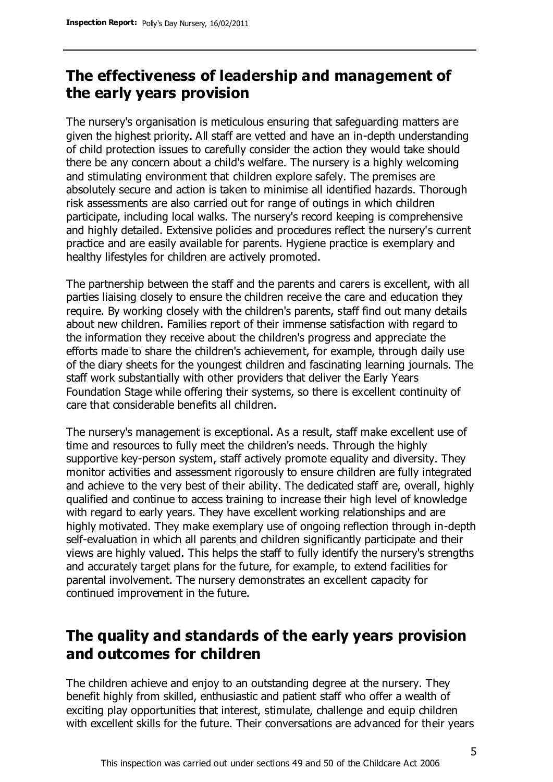# **The effectiveness of leadership and management of the early years provision**

The nursery's organisation is meticulous ensuring that safeguarding matters are given the highest priority. All staff are vetted and have an in-depth understanding of child protection issues to carefully consider the action they would take should there be any concern about a child's welfare. The nursery is a highly welcoming and stimulating environment that children explore safely. The premises are absolutely secure and action is taken to minimise all identified hazards. Thorough risk assessments are also carried out for range of outings in which children participate, including local walks. The nursery's record keeping is comprehensive and highly detailed. Extensive policies and procedures reflect the nursery's current practice and are easily available for parents. Hygiene practice is exemplary and healthy lifestyles for children are actively promoted.

The partnership between the staff and the parents and carers is excellent, with all parties liaising closely to ensure the children receive the care and education they require. By working closely with the children's parents, staff find out many details about new children. Families report of their immense satisfaction with regard to the information they receive about the children's progress and appreciate the efforts made to share the children's achievement, for example, through daily use of the diary sheets for the youngest children and fascinating learning journals. The staff work substantially with other providers that deliver the Early Years Foundation Stage while offering their systems, so there is excellent continuity of care that considerable benefits all children.

The nursery's management is exceptional. As a result, staff make excellent use of time and resources to fully meet the children's needs. Through the highly supportive key-person system, staff actively promote equality and diversity. They monitor activities and assessment rigorously to ensure children are fully integrated and achieve to the very best of their ability. The dedicated staff are, overall, highly qualified and continue to access training to increase their high level of knowledge with regard to early years. They have excellent working relationships and are highly motivated. They make exemplary use of ongoing reflection through in-depth self-evaluation in which all parents and children significantly participate and their views are highly valued. This helps the staff to fully identify the nursery's strengths and accurately target plans for the future, for example, to extend facilities for parental involvement. The nursery demonstrates an excellent capacity for continued improvement in the future.

# **The quality and standards of the early years provision and outcomes for children**

The children achieve and enjoy to an outstanding degree at the nursery. They benefit highly from skilled, enthusiastic and patient staff who offer a wealth of exciting play opportunities that interest, stimulate, challenge and equip children with excellent skills for the future. Their conversations are advanced for their years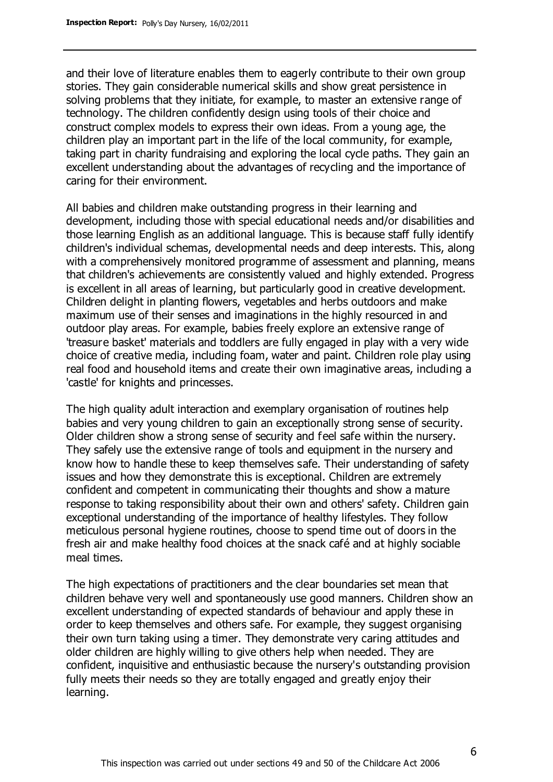and their love of literature enables them to eagerly contribute to their own group stories. They gain considerable numerical skills and show great persistence in solving problems that they initiate, for example, to master an extensive range of technology. The children confidently design using tools of their choice and construct complex models to express their own ideas. From a young age, the children play an important part in the life of the local community, for example, taking part in charity fundraising and exploring the local cycle paths. They gain an excellent understanding about the advantages of recycling and the importance of caring for their environment.

All babies and children make outstanding progress in their learning and development, including those with special educational needs and/or disabilities and those learning English as an additional language. This is because staff fully identify children's individual schemas, developmental needs and deep interests. This, along with a comprehensively monitored programme of assessment and planning, means that children's achievements are consistently valued and highly extended. Progress is excellent in all areas of learning, but particularly good in creative development. Children delight in planting flowers, vegetables and herbs outdoors and make maximum use of their senses and imaginations in the highly resourced in and outdoor play areas. For example, babies freely explore an extensive range of 'treasure basket' materials and toddlers are fully engaged in play with a very wide choice of creative media, including foam, water and paint. Children role play using real food and household items and create their own imaginative areas, including a 'castle' for knights and princesses.

The high quality adult interaction and exemplary organisation of routines help babies and very young children to gain an exceptionally strong sense of security. Older children show a strong sense of security and feel safe within the nursery. They safely use the extensive range of tools and equipment in the nursery and know how to handle these to keep themselves safe. Their understanding of safety issues and how they demonstrate this is exceptional. Children are extremely confident and competent in communicating their thoughts and show a mature response to taking responsibility about their own and others' safety. Children gain exceptional understanding of the importance of healthy lifestyles. They follow meticulous personal hygiene routines, choose to spend time out of doors in the fresh air and make healthy food choices at the snack café and at highly sociable meal times.

The high expectations of practitioners and the clear boundaries set mean that children behave very well and spontaneously use good manners. Children show an excellent understanding of expected standards of behaviour and apply these in order to keep themselves and others safe. For example, they suggest organising their own turn taking using a timer. They demonstrate very caring attitudes and older children are highly willing to give others help when needed. They are confident, inquisitive and enthusiastic because the nursery's outstanding provision fully meets their needs so they are totally engaged and greatly enjoy their learning.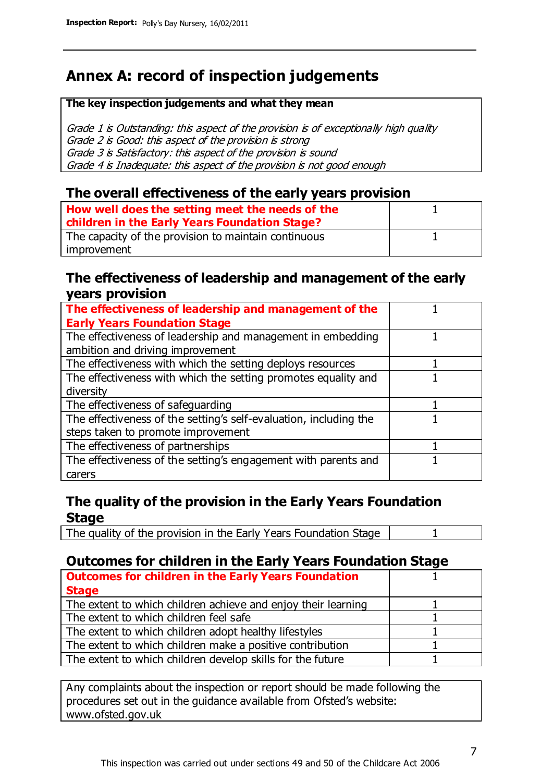# **Annex A: record of inspection judgements**

#### **The key inspection judgements and what they mean**

Grade 1 is Outstanding: this aspect of the provision is of exceptionally high quality Grade 2 is Good: this aspect of the provision is strong Grade 3 is Satisfactory: this aspect of the provision is sound Grade 4 is Inadequate: this aspect of the provision is not good enough

### **The overall effectiveness of the early years provision**

| How well does the setting meet the needs of the<br>children in the Early Years Foundation Stage? |  |
|--------------------------------------------------------------------------------------------------|--|
| The capacity of the provision to maintain continuous                                             |  |
| improvement                                                                                      |  |

### **The effectiveness of leadership and management of the early years provision**

| The effectiveness of leadership and management of the             |  |
|-------------------------------------------------------------------|--|
| <b>Early Years Foundation Stage</b>                               |  |
| The effectiveness of leadership and management in embedding       |  |
| ambition and driving improvement                                  |  |
| The effectiveness with which the setting deploys resources        |  |
| The effectiveness with which the setting promotes equality and    |  |
| diversity                                                         |  |
| The effectiveness of safeguarding                                 |  |
| The effectiveness of the setting's self-evaluation, including the |  |
| steps taken to promote improvement                                |  |
| The effectiveness of partnerships                                 |  |
| The effectiveness of the setting's engagement with parents and    |  |
| carers                                                            |  |

## **The quality of the provision in the Early Years Foundation Stage**

The quality of the provision in the Early Years Foundation Stage | 1

## **Outcomes for children in the Early Years Foundation Stage**

| <b>Outcomes for children in the Early Years Foundation</b>    |  |
|---------------------------------------------------------------|--|
| <b>Stage</b>                                                  |  |
| The extent to which children achieve and enjoy their learning |  |
| The extent to which children feel safe                        |  |
| The extent to which children adopt healthy lifestyles         |  |
| The extent to which children make a positive contribution     |  |
| The extent to which children develop skills for the future    |  |

Any complaints about the inspection or report should be made following the procedures set out in the guidance available from Ofsted's website: www.ofsted.gov.uk